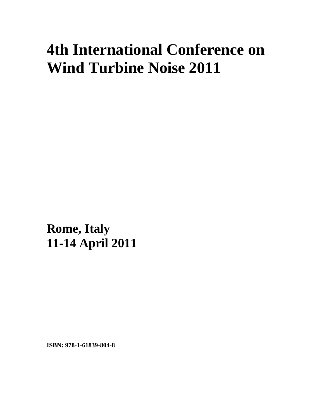## **4th International Conference on Wind Turbine Noise 2011**

**Rome, Italy 11-14 April 2011**

**ISBN: 978-1-61839-804-8**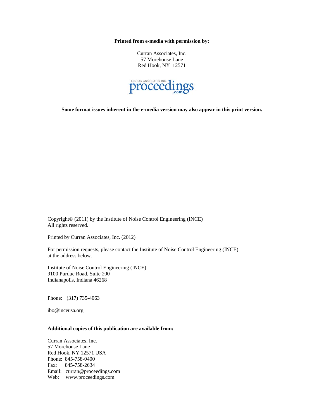**Printed from e-media with permission by:** 

Curran Associates, Inc. 57 Morehouse Lane Red Hook, NY 12571



**Some format issues inherent in the e-media version may also appear in this print version.** 

Copyright© (2011) by the Institute of Noise Control Engineering (INCE) All rights reserved.

Printed by Curran Associates, Inc. (2012)

For permission requests, please contact the Institute of Noise Control Engineering (INCE) at the address below.

Institute of Noise Control Engineering (INCE) 9100 Purdue Road, Suite 200 Indianapolis, Indiana 46268

Phone: (317) 735-4063

ibo@inceusa.org

## **Additional copies of this publication are available from:**

Curran Associates, Inc. 57 Morehouse Lane Red Hook, NY 12571 USA Phone: 845-758-0400 Fax: 845-758-2634 Email: curran@proceedings.com Web: www.proceedings.com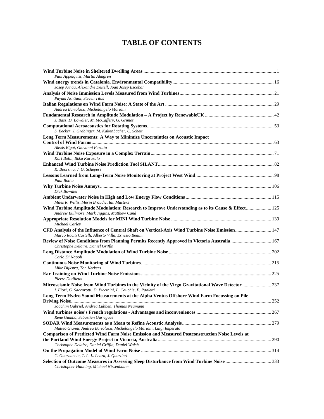## **TABLE OF CONTENTS**

| Paul Appelqvist, Martin Almgren                                                                                                                                       |  |
|-----------------------------------------------------------------------------------------------------------------------------------------------------------------------|--|
| Josep Arnau, Alexandre Deltell, Joan Josep Escobar                                                                                                                    |  |
|                                                                                                                                                                       |  |
| Payam Ashtiani, Steven Titus                                                                                                                                          |  |
|                                                                                                                                                                       |  |
| Andrea Bartolazzi, Michelangelo Mariani                                                                                                                               |  |
| J. Bass, D. Bowdler, M. McCaffery, G. Grimes                                                                                                                          |  |
|                                                                                                                                                                       |  |
| S. Becker, J. Grabinger, M. Kaltenbacher, C. Scheit                                                                                                                   |  |
| Long Term Measurements: A Way to Minimize Uncertainties on Acoustic Impact                                                                                            |  |
|                                                                                                                                                                       |  |
| Alexis Bigot, Giovanni Farotto                                                                                                                                        |  |
|                                                                                                                                                                       |  |
| Karl Bolin, Ilkka Karasalo                                                                                                                                            |  |
|                                                                                                                                                                       |  |
| K. Boorsma, J. G. Schepers                                                                                                                                            |  |
|                                                                                                                                                                       |  |
| Paul Botha                                                                                                                                                            |  |
|                                                                                                                                                                       |  |
| Dick Bowdler                                                                                                                                                          |  |
| Miles R. Willis, Merin Broudic, Ian Masters                                                                                                                           |  |
| Wind Turbine Amplitude Modulation: Research to Improve Understanding as to its Cause & Effect 125<br>Andrew Bullmore, Mark Jiggins, Matthew Cand                      |  |
|                                                                                                                                                                       |  |
| Michael Carley                                                                                                                                                        |  |
| CFD Analysis of the Influence of Central Shaft on Vertical-Axis Wind Turbine Noise Emission 147<br>Marco Raciti Castelli, Alberto Villa, Ernesto Benini               |  |
| Review of Noise Conditions from Planning Permits Recently Approved in Victoria Australia 167                                                                          |  |
| Christophe Delaire, Daniel Griffin                                                                                                                                    |  |
| Carlo Di Napoli                                                                                                                                                       |  |
|                                                                                                                                                                       |  |
| Mike Dijkstra, Ton Kerkers                                                                                                                                            |  |
| Pierre Dutilleux                                                                                                                                                      |  |
| Microseismic Noise from Wind Turbines in the Vicinity of the Virgo Gravitational Wave Detector  237<br>I. Fiori, G. Saccorotti, D. Piccinini, L. Cauchie, F. Paoletti |  |
| Long Term Hydro Sound Measurements at the Alpha Ventus Offshore Wind Farm Focussing on Pile                                                                           |  |
| Joachim Gabriel, Andrea Lubben, Thomas Neumann                                                                                                                        |  |
|                                                                                                                                                                       |  |
| Rene Gamba, Sebastien Garrigues                                                                                                                                       |  |
| Matteo Gianni, Andrea Bartolazzi, Michelangelo Mariani, Luigi Imperato                                                                                                |  |
| <b>Comparison of Predicted Wind Farm Noise Emission and Measured Postconstruction Noise Levels at</b>                                                                 |  |
|                                                                                                                                                                       |  |
| Christophe Delaire, Daniel Griffin, Daniel Walsh                                                                                                                      |  |
|                                                                                                                                                                       |  |
| C. Guarnaccia, T. L. L. Lenza, J. Quartieri                                                                                                                           |  |
| Selection of Outcome Measures in Assessing Sleep Disturbance from Wind Turbine Noise 333<br>Christopher Hanning, Michael Nissenbaum                                   |  |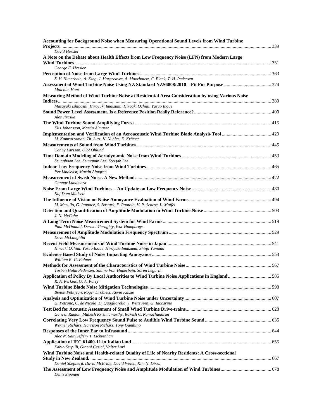| Accounting for Background Noise when Measuring Operational Sound Levels from Wind Turbine                                 |  |
|---------------------------------------------------------------------------------------------------------------------------|--|
| David Hessler                                                                                                             |  |
| A Note on the Debate about Health Effects from Low Frequency Noise (LFN) from Modern Large                                |  |
| George F. Hessler                                                                                                         |  |
|                                                                                                                           |  |
| S. V. Hunerbein, A. King, J. Hargreaves, A. Moorhouse, C. Plack, T. H. Pedersen                                           |  |
| Malcolm Hunt                                                                                                              |  |
| Measuring Method of Wind Turbine Noise at Residential Area Consideration by using Various Noise                           |  |
| Masayuki Ishibashi, Hiroyuki Imaizumi, Hiroaki Ochiai, Yasuo Inoue                                                        |  |
|                                                                                                                           |  |
| Ales Jiraska                                                                                                              |  |
|                                                                                                                           |  |
| Elis Johansson, Martin Almgren                                                                                            |  |
| M. Kamruzzaman, Th. Lutz, K. Nubler, E. Krämer                                                                            |  |
| Conny Larsson, Olof Ohlund                                                                                                |  |
|                                                                                                                           |  |
| Seunghoon Lee, Seungmin Lee, Soogab Lee                                                                                   |  |
|                                                                                                                           |  |
| Per Lindkvist, Martin Almgren                                                                                             |  |
| Gunnar Lundmark                                                                                                           |  |
| Kaj Dam Madsen                                                                                                            |  |
| M. Masullo, G. Iannace, S. Basturk, F. Ruotolo, V. P. Senese, L. Maffei                                                   |  |
| J. N. McCabe                                                                                                              |  |
|                                                                                                                           |  |
| Paul McDonald, Dermot Geraghty, Ivor Humphreys                                                                            |  |
| Dave McLaughlin                                                                                                           |  |
|                                                                                                                           |  |
| Hiroaki Ochiai, Yasuo Inoue, Hiroyuki Imaizumi, Shinji Yamada                                                             |  |
| William K. G. Palmer                                                                                                      |  |
|                                                                                                                           |  |
| Torben Holm Pedersen, Sabine Von-Hunerbein, Soren Legarth                                                                 |  |
| Application of Policy By Local Authorities to Wind Turbine Noise Applications in England585<br>R. A. Perkins, G. A. Parry |  |
|                                                                                                                           |  |
| Benoit Petitjean, Roger Drobietz, Kevin Kinzie                                                                            |  |
| G. Petrone, C. de Nicola, D. Quagliarella, J. Witteveen, G. Iaccarino                                                     |  |
|                                                                                                                           |  |
| Ganesh Raman, Mahesh Krishnamurthy, Rakesh C. Ramachandran                                                                |  |
| Werner Richarz, Harrison Richarz, Tony Gambino                                                                            |  |
|                                                                                                                           |  |
| Alec N. Salt, Jeffery T. Lichtenhan                                                                                       |  |
| Fabio Serpilli, Gianni Cesini, Valter Lori                                                                                |  |
| Wind Turbine Noise and Health-related Quality of Life of Nearby Residents: A Cross-sectional                              |  |
| Daniel Shepherd, David McBride, David Welch, Kim N. Dirks                                                                 |  |
| Denis Siponen                                                                                                             |  |